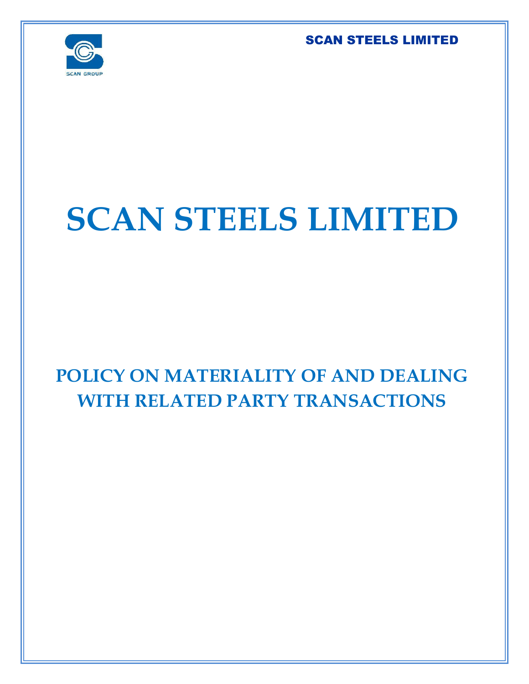

# **SCAN STEELS LIMITED**

# **POLICY ON MATERIALITY OF AND DEALING WITH RELATED PARTY TRANSACTIONS**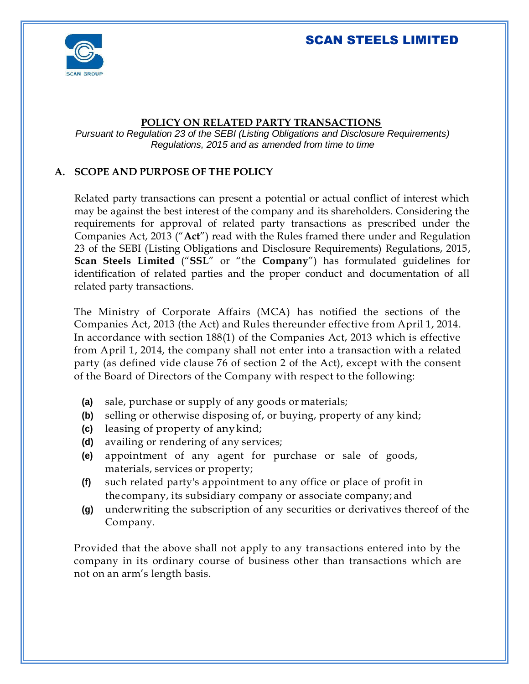

#### **POLICY ON RELATED PARTY TRANSACTIONS**

*Pursuant to Regulation 23 of the SEBI (Listing Obligations and Disclosure Requirements) Regulations, 2015 and as amended from time to time*

#### **A. SCOPE AND PURPOSE OF THE POLICY**

Related party transactions can present a potential or actual conflict of interest which may be against the best interest of the company and its shareholders. Considering the requirements for approval of related party transactions as prescribed under the Companies Act, 2013 ("**Act**") read with the Rules framed there under and Regulation 23 of the SEBI (Listing Obligations and Disclosure Requirements) Regulations, 2015, **Scan Steels Limited** ("**SSL**" or "the **Company**") has formulated guidelines for identification of related parties and the proper conduct and documentation of all related party transactions.

The Ministry of Corporate Affairs (MCA) has notified the sections of the Companies Act, 2013 (the Act) and Rules thereunder effective from April 1, 2014. In accordance with section 188(1) of the Companies Act, 2013 which is effective from April 1, 2014, the company shall not enter into a transaction with a related party (as defined vide clause 76 of section 2 of the Act), except with the consent of the Board of Directors of the Company with respect to the following:

- **(a)** sale, purchase or supply of any goods or materials;
- **(b)** selling or otherwise disposing of, or buying, property of any kind;
- **(c)** leasing of property of anykind;
- **(d)** availing or rendering of any services;
- **(e)** appointment of any agent for purchase or sale of goods, materials, services or property;
- **(f)** such related party's appointment to any office or place of profit in the company, its subsidiary company or associate company; and
- **(g)** underwriting the subscription of any securities or derivatives thereof of the Company.

Provided that the above shall not apply to any transactions entered into by the company in its ordinary course of business other than transactions which are not on an arm's length basis.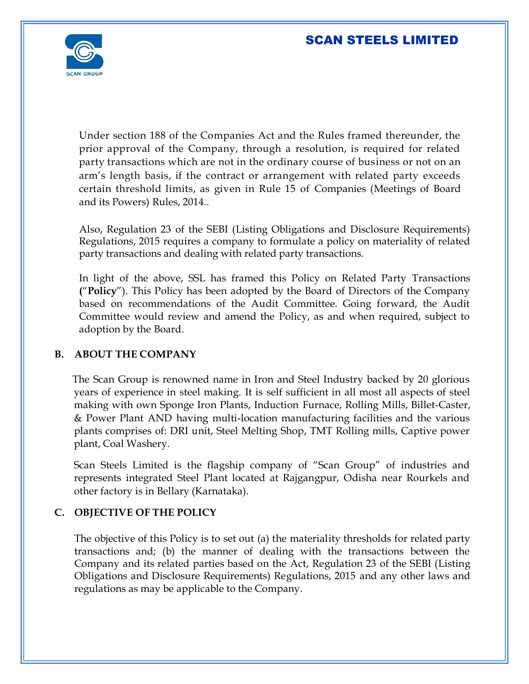

Under section 188 of the Companies Act and the Rules framed thereunder, the prior approval of the Company, through a resolution, is required for related party transactions which are not in the ordinary course of business or not on an arm's length basis, if the contract or arrangement with related party exceeds certain threshold limits, as given in Rule 15 of Companies (Meetings of Board and its Powers) Rules, 2014..

Also, Regulation 23 of the SEBI (Listing Obligations and Disclosure Requirements) Regulations, 2015 requires a company to formulate a policy on materiality of related party transactions and dealing with related party transactions.

In light of the above, SSL has framed this Policy on Related Party Transactions **(**"**Policy**"). This Policy has been adopted by the Board of Directors of the Company based on recommendations of the Audit Committee. Going forward, the Audit Committee would review and amend the Policy, as and when required, subject to adoption by the Board.

#### **B. ABOUT THE COMPANY**

The Scan Group is renowned name in Iron and Steel Industry backed by 20 glorious years of experience in steel making. It is self sufficient in all most all aspects of steel making with own Sponge Iron Plants, Induction Furnace, Rolling Mills, Billet-Caster, & Power Plant AND having multi-location manufacturing facilities and the various plants comprises of: DRI unit, Steel Melting Shop, TMT Rolling mills, Captive power plant, Coal Washery.

Scan Steels Limited is the flagship company of "Scan Group" of industries and represents integrated Steel Plant located at Rajgangpur, Odisha near Rourkels and other factory is in Bellary (Karnataka).

#### **C. OBJECTIVE OF THE POLICY**

The objective of this Policy is to set out (a) the materiality thresholds for related party transactions and; (b) the manner of dealing with the transactions between the Company and its related parties based on the Act, Regulation 23 of the SEBI (Listing Obligations and Disclosure Requirements) Regulations, 2015 and any other laws and regulations as may be applicable to the Company.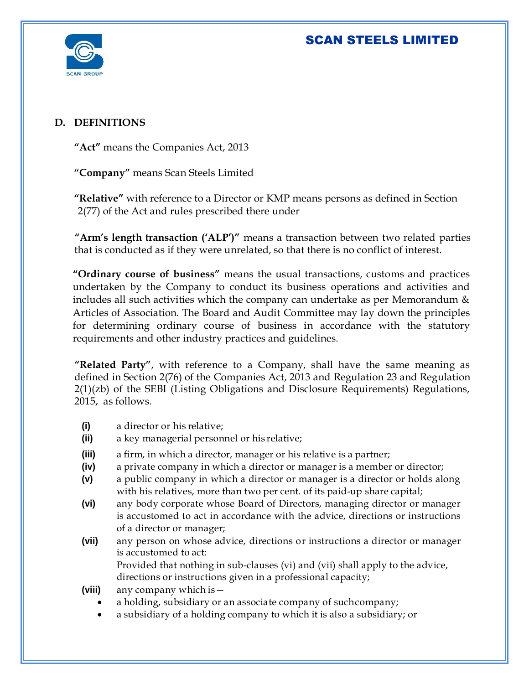

#### **D. DEFINITIONS**

**"Act"** means the Companies Act, 2013

**"Company"** means Scan Steels Limited

**"Relative"** with reference to a Director or KMP means persons as defined in Section 2(77) of the Act and rules prescribed there under

**"Arm's length transaction ('ALP')"** means a transaction between two related parties that is conducted as if they were unrelated, so that there is no conflict of interest.

**"Ordinary course of business"** means the usual transactions, customs and practices undertaken by the Company to conduct its business operations and activities and includes all such activities which the company can undertake as per Memorandum & Articles of Association. The Board and Audit Committee may lay down the principles for determining ordinary course of business in accordance with the statutory requirements and other industry practices and guidelines.

**"Related Party"**, with reference to a Company, shall have the same meaning as defined in Section 2(76) of the Companies Act, 2013 and Regulation 23 and Regulation 2(1)(zb) of the SEBI (Listing Obligations and Disclosure Requirements) Regulations, 2015, as follows.

- **(i)** a director or his relative;
- **(ii)** a key managerial personnel or his relative;
- **(iii)** a firm, in which a director, manager or his relative is a partner;
- **(iv)** a private company in which a director or manager is a member or director;
- **(v)** a public company in which a director or manager is a director or holds along with his relatives, more than two per cent. of its paid-up share capital;
- **(vi)** any body corporate whose Board of Directors, managing director or manager is accustomed to act in accordance with the advice, directions or instructions of a director or manager;
- **(vii)** any person on whose advice, directions or instructions a director or manager is accustomed to act:

Provided that nothing in sub-clauses (vi) and (vii) shall apply to the advice, directions or instructions given in a professional capacity;

- **(viii)** any company which is
	- a holding, subsidiary or an associate company of suchcompany;
	- a subsidiary of a holding company to which it is also a subsidiary; or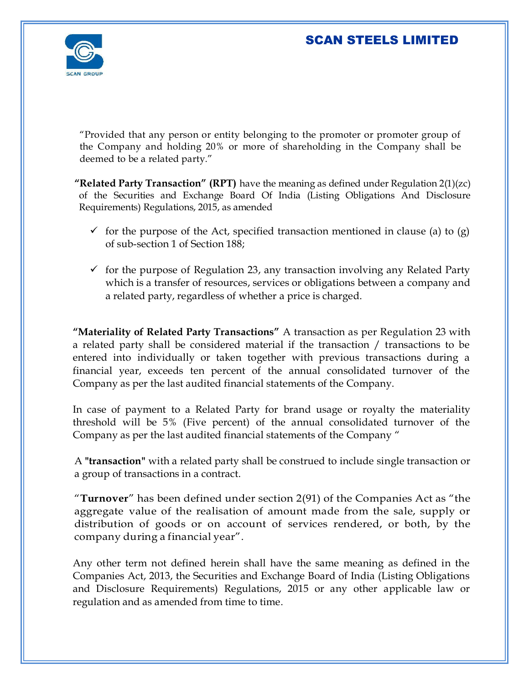

"Provided that any person or entity belonging to the promoter or promoter group of the Company and holding 20% or more of shareholding in the Company shall be deemed to be a related party."

**"Related Party Transaction" (RPT)** have the meaning as defined under Regulation 2(1)(zc) of the Securities and Exchange Board Of India (Listing Obligations And Disclosure Requirements) Regulations, 2015, as amended

- $\checkmark$  for the purpose of the Act, specified transaction mentioned in clause (a) to (g) of sub-section 1 of Section 188;
- $\checkmark$  for the purpose of Regulation 23, any transaction involving any Related Party which is a transfer of resources, services or obligations between a company and a related party, regardless of whether a price is charged.

**"Materiality of Related Party Transactions"** A transaction as per Regulation 23 with a related party shall be considered material if the transaction / transactions to be entered into individually or taken together with previous transactions during a financial year, exceeds ten percent of the annual consolidated turnover of the Company as per the last audited financial statements of the Company.

In case of payment to a Related Party for brand usage or royalty the materiality threshold will be 5% (Five percent) of the annual consolidated turnover of the Company as per the last audited financial statements of the Company "

A **"transaction"** with a related party shall be construed to include single transaction or a group of transactions in a contract.

"**Turnover**" has been defined under section 2(91) of the Companies Act as "the aggregate value of the realisation of amount made from the sale, supply or distribution of goods or on account of services rendered, or both, by the company during a financial year".

Any other term not defined herein shall have the same meaning as defined in the Companies Act, 2013, the Securities and Exchange Board of India (Listing Obligations and Disclosure Requirements) Regulations, 2015 or any other applicable law or regulation and as amended from time to time.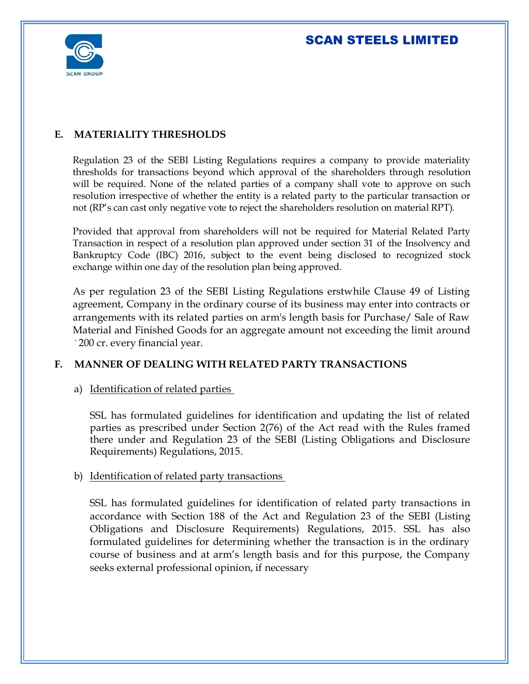

#### **E. MATERIALITY THRESHOLDS**

Regulation 23 of the SEBI Listing Regulations requires a company to provide materiality thresholds for transactions beyond which approval of the shareholders through resolution will be required. None of the related parties of a company shall vote to approve on such resolution irrespective of whether the entity is a related party to the particular transaction or not (RP's can cast only negative vote to reject the shareholders resolution on material RPT).

Provided that approval from shareholders will not be required for Material Related Party Transaction in respect of a resolution plan approved under section 31 of the Insolvency and Bankruptcy Code (IBC) 2016, subject to the event being disclosed to recognized stock exchange within one day of the resolution plan being approved.

As per regulation 23 of the SEBI Listing Regulations erstwhile Clause 49 of Listing agreement, Company in the ordinary course of its business may enter into contracts or arrangements with its related parties on arm's length basis for Purchase/ Sale of Raw Material and Finished Goods for an aggregate amount not exceeding the limit around `200 cr. every financial year.

#### **F. MANNER OF DEALING WITH RELATED PARTY TRANSACTIONS**

#### a) Identification of related parties

SSL has formulated guidelines for identification and updating the list of related parties as prescribed under Section 2(76) of the Act read with the Rules framed there under and Regulation 23 of the SEBI (Listing Obligations and Disclosure Requirements) Regulations, 2015.

#### b) Identification of related party transactions

SSL has formulated guidelines for identification of related party transactions in accordance with Section 188 of the Act and Regulation 23 of the SEBI (Listing Obligations and Disclosure Requirements) Regulations, 2015. SSL has also formulated guidelines for determining whether the transaction is in the ordinary course of business and at arm's length basis and for this purpose, the Company seeks external professional opinion, if necessary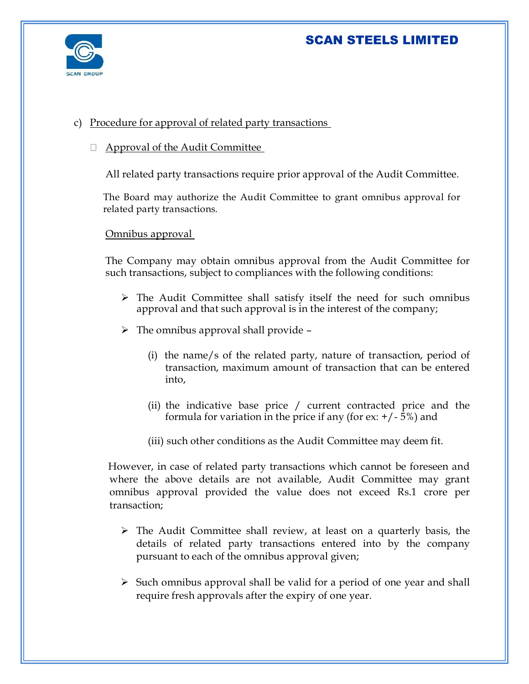



#### c) Procedure for approval of related party transactions

 $\Box$  Approval of the Audit Committee

All related party transactions require prior approval of the Audit Committee.

The Board may authorize the Audit Committee to grant omnibus approval for related party transactions.

Omnibus approval

The Company may obtain omnibus approval from the Audit Committee for such transactions, subject to compliances with the following conditions:

- $\triangleright$  The Audit Committee shall satisfy itself the need for such omnibus approval and that such approval is in the interest of the company;
- $\triangleright$  The omnibus approval shall provide
	- (i) the name/s of the related party, nature of transaction, period of transaction, maximum amount of transaction that can be entered into,
	- (ii) the indicative base price / current contracted price and the formula for variation in the price if any (for  $ex: +/-5\%$ ) and
	- (iii) such other conditions as the Audit Committee may deem fit.

 However, in case of related party transactions which cannot be foreseen and where the above details are not available, Audit Committee may grant omnibus approval provided the value does not exceed Rs.1 crore per transaction;

- $\triangleright$  The Audit Committee shall review, at least on a quarterly basis, the details of related party transactions entered into by the company pursuant to each of the omnibus approval given;
- $\triangleright$  Such omnibus approval shall be valid for a period of one year and shall require fresh approvals after the expiry of one year.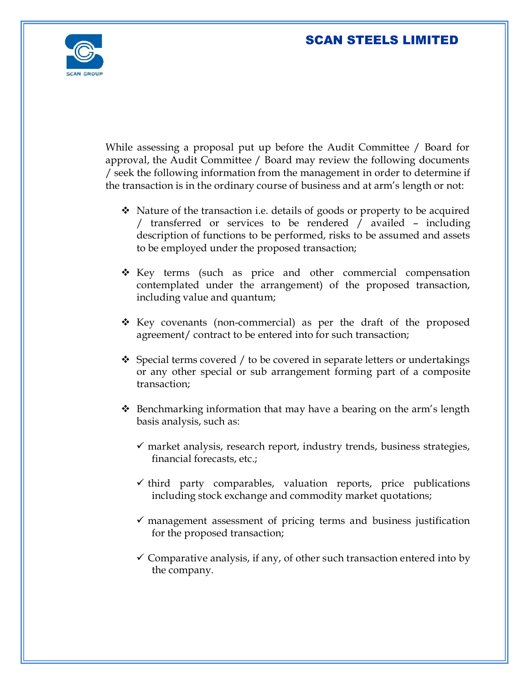

While assessing a proposal put up before the Audit Committee / Board for approval, the Audit Committee / Board may review the following documents / seek the following information from the management in order to determine if the transaction is in the ordinary course of business and at arm's length or not:

- $\bullet$  Nature of the transaction i.e. details of goods or property to be acquired / transferred or services to be rendered / availed – including description of functions to be performed, risks to be assumed and assets to be employed under the proposed transaction;
- Key terms (such as price and other commercial compensation contemplated under the arrangement) of the proposed transaction, including value and quantum;
- \* Key covenants (non-commercial) as per the draft of the proposed agreement/ contract to be entered into for such transaction;
- $\div$  Special terms covered / to be covered in separate letters or undertakings or any other special or sub arrangement forming part of a composite transaction;
- $\hat{\mathbf{v}}$  Benchmarking information that may have a bearing on the arm's length basis analysis, such as:
	- $\checkmark$  market analysis, research report, industry trends, business strategies, financial forecasts, etc.;
	- $\checkmark$  third party comparables, valuation reports, price publications including stock exchange and commodity market quotations;
	- $\checkmark$  management assessment of pricing terms and business justification for the proposed transaction;
	- $\checkmark$  Comparative analysis, if any, of other such transaction entered into by the company.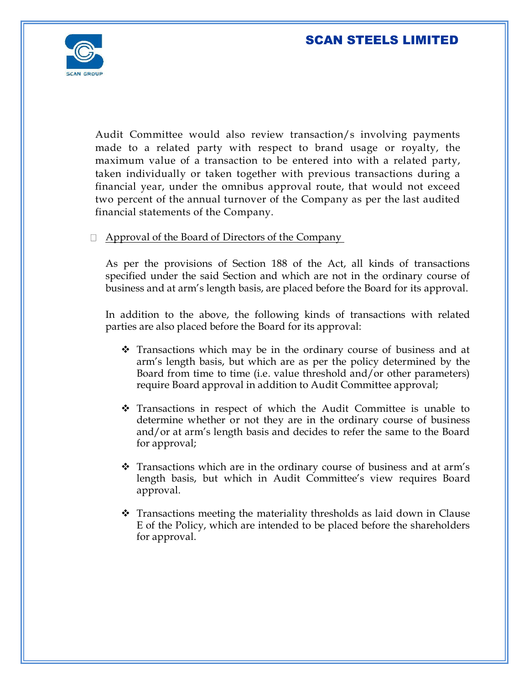

Audit Committee would also review transaction/s involving payments made to a related party with respect to brand usage or royalty, the maximum value of a transaction to be entered into with a related party, taken individually or taken together with previous transactions during a financial year, under the omnibus approval route, that would not exceed two percent of the annual turnover of the Company as per the last audited financial statements of the Company.

#### $\Box$  Approval of the Board of Directors of the Company

As per the provisions of Section 188 of the Act, all kinds of transactions specified under the said Section and which are not in the ordinary course of business and at arm's length basis, are placed before the Board for its approval.

In addition to the above, the following kinds of transactions with related parties are also placed before the Board for its approval:

- $\hat{\mathbf{v}}$  Transactions which may be in the ordinary course of business and at arm's length basis, but which are as per the policy determined by the Board from time to time (i.e. value threshold and/or other parameters) require Board approval in addition to Audit Committee approval;
- Transactions in respect of which the Audit Committee is unable to determine whether or not they are in the ordinary course of business and/or at arm's length basis and decides to refer the same to the Board for approval;
- \* Transactions which are in the ordinary course of business and at arm's length basis, but which in Audit Committee's view requires Board approval.
- $\hat{\mathbf{v}}$  Transactions meeting the materiality thresholds as laid down in Clause E of the Policy, which are intended to be placed before the shareholders for approval.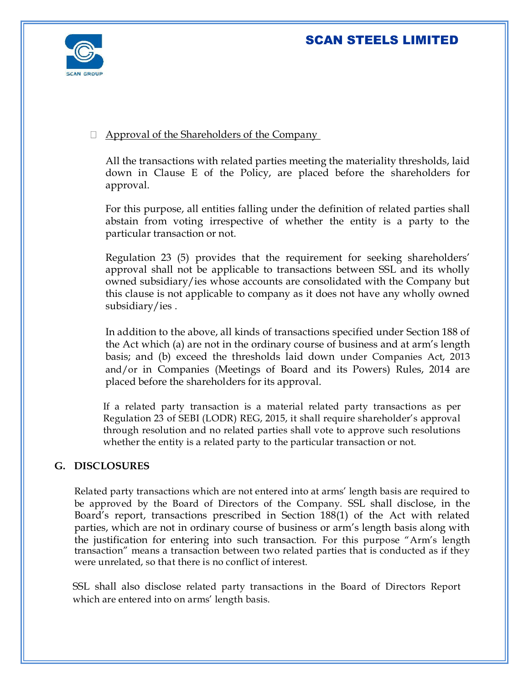

#### Approval of the Shareholders of the Company

All the transactions with related parties meeting the materiality thresholds, laid down in Clause E of the Policy, are placed before the shareholders for approval.

For this purpose, all entities falling under the definition of related parties shall abstain from voting irrespective of whether the entity is a party to the particular transaction or not.

Regulation 23 (5) provides that the requirement for seeking shareholders' approval shall not be applicable to transactions between SSL and its wholly owned subsidiary/ies whose accounts are consolidated with the Company but this clause is not applicable to company as it does not have any wholly owned subsidiary/ies .

In addition to the above, all kinds of transactions specified under Section 188 of the Act which (a) are not in the ordinary course of business and at arm's length basis; and (b) exceed the thresholds laid down under Companies Act, 2013 and/or in Companies (Meetings of Board and its Powers) Rules, 2014 are placed before the shareholders for its approval.

If a related party transaction is a material related party transactions as per Regulation 23 of SEBI (LODR) REG, 2015, it shall require shareholder's approval through resolution and no related parties shall vote to approve such resolutions whether the entity is a related party to the particular transaction or not.

#### **G. DISCLOSURES**

Related party transactions which are not entered into at arms' length basis are required to be approved by the Board of Directors of the Company. SSL shall disclose, in the Board's report, transactions prescribed in Section 188(1) of the Act with related parties, which are not in ordinary course of business or arm's length basis along with the justification for entering into such transaction. For this purpose "Arm's length transaction" means a transaction between two related parties that is conducted as if they were unrelated, so that there is no conflict of interest.

SSL shall also disclose related party transactions in the Board of Directors Report which are entered into on arms' length basis.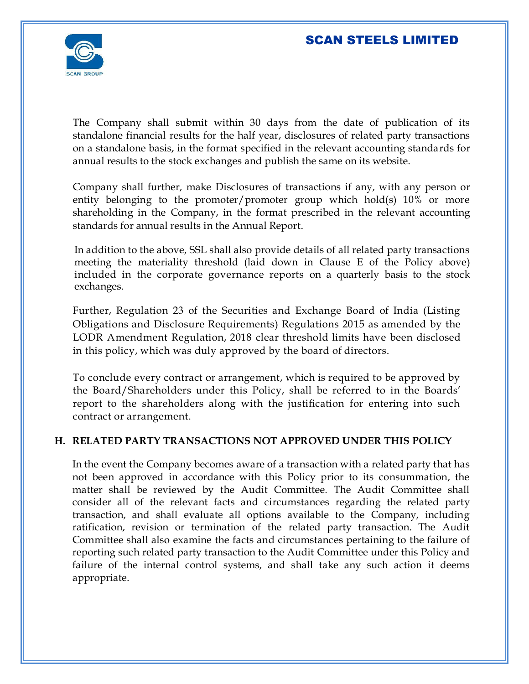

The Company shall submit within 30 days from the date of publication of its standalone financial results for the half year, disclosures of related party transactions on a standalone basis, in the format specified in the relevant accounting standards for annual results to the stock exchanges and publish the same on its website.

Company shall further, make Disclosures of transactions if any, with any person or entity belonging to the promoter/promoter group which hold(s) 10% or more shareholding in the Company, in the format prescribed in the relevant accounting standards for annual results in the Annual Report.

In addition to the above, SSL shall also provide details of all related party transactions meeting the materiality threshold (laid down in Clause E of the Policy above) included in the corporate governance reports on a quarterly basis to the stock exchanges.

Further, Regulation 23 of the Securities and Exchange Board of India (Listing Obligations and Disclosure Requirements) Regulations 2015 as amended by the LODR Amendment Regulation, 2018 clear threshold limits have been disclosed in this policy, which was duly approved by the board of directors.

To conclude every contract or arrangement, which is required to be approved by the Board/Shareholders under this Policy, shall be referred to in the Boards' report to the shareholders along with the justification for entering into such contract or arrangement.

#### **H. RELATED PARTY TRANSACTIONS NOT APPROVED UNDER THIS POLICY**

In the event the Company becomes aware of a transaction with a related party that has not been approved in accordance with this Policy prior to its consummation, the matter shall be reviewed by the Audit Committee. The Audit Committee shall consider all of the relevant facts and circumstances regarding the related party transaction, and shall evaluate all options available to the Company, including ratification, revision or termination of the related party transaction. The Audit Committee shall also examine the facts and circumstances pertaining to the failure of reporting such related party transaction to the Audit Committee under this Policy and failure of the internal control systems, and shall take any such action it deems appropriate.